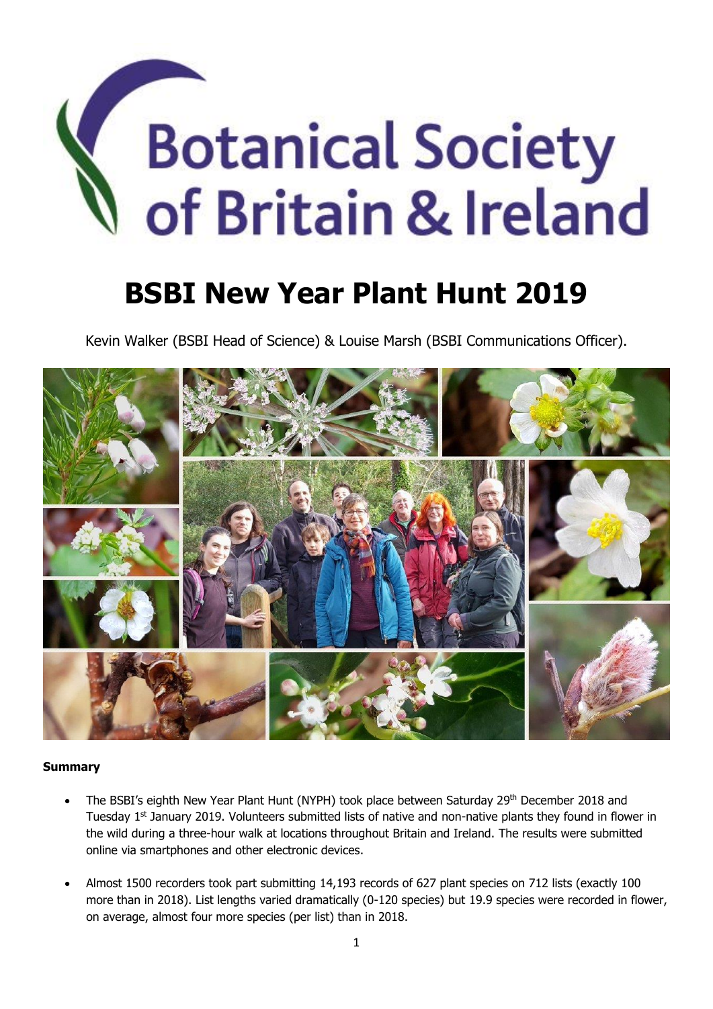# Botanical Society of Britain & Ireland

# **BSBI New Year Plant Hunt 2019**

Kevin Walker (BSBI Head of Science) & Louise Marsh (BSBI Communications Officer).



# **Summary**

- The BSBI's eighth New Year Plant Hunt (NYPH) took place between Saturday 29<sup>th</sup> December 2018 and Tuesday 1<sup>st</sup> January 2019. Volunteers submitted lists of native and non-native plants they found in flower in the wild during a three-hour walk at locations throughout Britain and Ireland. The results were submitted online via smartphones and other electronic devices.
- Almost 1500 recorders took part submitting 14,193 records of 627 plant species on 712 lists (exactly 100 more than in 2018). List lengths varied dramatically (0-120 species) but 19.9 species were recorded in flower, on average, almost four more species (per list) than in 2018.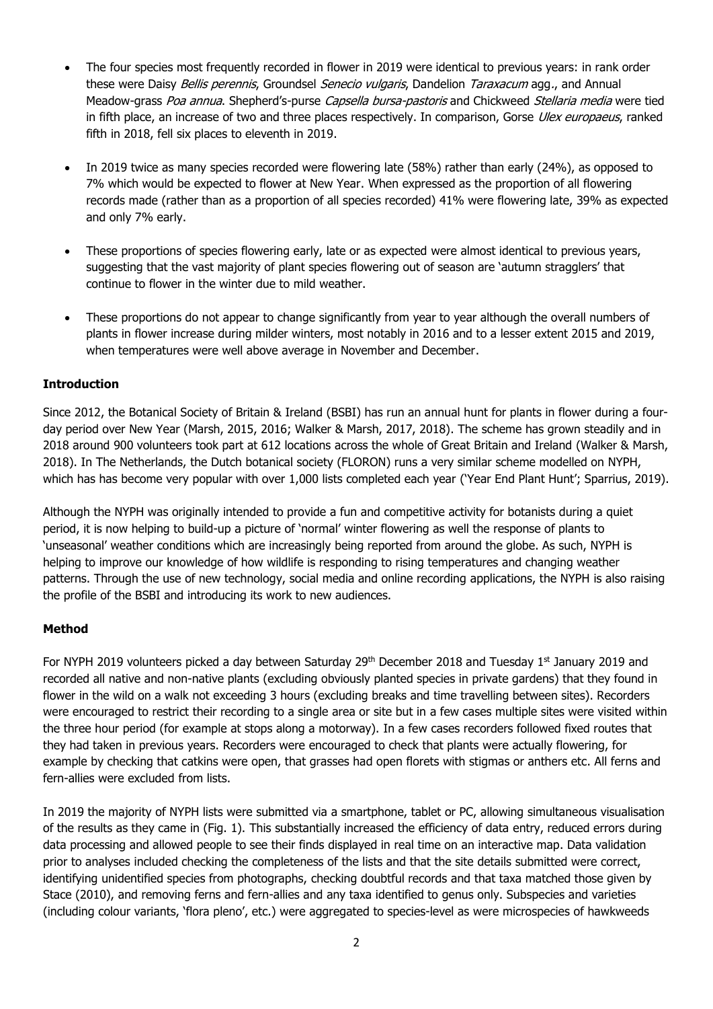- The four species most frequently recorded in flower in 2019 were identical to previous years: in rank order these were Daisy Bellis perennis, Groundsel Senecio vulgaris, Dandelion Taraxacum agg., and Annual Meadow-grass Poa annua. Shepherd's-purse Capsella bursa-pastoris and Chickweed Stellaria media were tied in fifth place, an increase of two and three places respectively. In comparison, Gorse Ulex europaeus, ranked fifth in 2018, fell six places to eleventh in 2019.
- In 2019 twice as many species recorded were flowering late (58%) rather than early (24%), as opposed to 7% which would be expected to flower at New Year. When expressed as the proportion of all flowering records made (rather than as a proportion of all species recorded) 41% were flowering late, 39% as expected and only 7% early.
- These proportions of species flowering early, late or as expected were almost identical to previous years, suggesting that the vast majority of plant species flowering out of season are 'autumn stragglers' that continue to flower in the winter due to mild weather.
- These proportions do not appear to change significantly from year to year although the overall numbers of plants in flower increase during milder winters, most notably in 2016 and to a lesser extent 2015 and 2019, when temperatures were well above average in November and December.

# **Introduction**

Since 2012, the Botanical Society of Britain & Ireland (BSBI) has run an annual hunt for plants in flower during a fourday period over New Year (Marsh, 2015, 2016; Walker & Marsh, 2017, 2018). The scheme has grown steadily and in 2018 around 900 volunteers took part at 612 locations across the whole of Great Britain and Ireland (Walker & Marsh, 2018). In The Netherlands, the Dutch botanical society (FLORON) runs a very similar scheme modelled on NYPH, which has has become very popular with over 1,000 lists completed each year ('Year End Plant Hunt'; Sparrius, 2019).

Although the NYPH was originally intended to provide a fun and competitive activity for botanists during a quiet period, it is now helping to build-up a picture of 'normal' winter flowering as well the response of plants to 'unseasonal' weather conditions which are increasingly being reported from around the globe. As such, NYPH is helping to improve our knowledge of how wildlife is responding to rising temperatures and changing weather patterns. Through the use of new technology, social media and online recording applications, the NYPH is also raising the profile of the BSBI and introducing its work to new audiences.

# **Method**

For NYPH 2019 volunteers picked a day between Saturday 29<sup>th</sup> December 2018 and Tuesday 1<sup>st</sup> January 2019 and recorded all native and non-native plants (excluding obviously planted species in private gardens) that they found in flower in the wild on a walk not exceeding 3 hours (excluding breaks and time travelling between sites). Recorders were encouraged to restrict their recording to a single area or site but in a few cases multiple sites were visited within the three hour period (for example at stops along a motorway). In a few cases recorders followed fixed routes that they had taken in previous years. Recorders were encouraged to check that plants were actually flowering, for example by checking that catkins were open, that grasses had open florets with stigmas or anthers etc. All ferns and fern-allies were excluded from lists.

In 2019 the majority of NYPH lists were submitted via a smartphone, tablet or PC, allowing simultaneous visualisation of the results as they came in (Fig. 1). This substantially increased the efficiency of data entry, reduced errors during data processing and allowed people to see their finds displayed in real time on an interactive map. Data validation prior to analyses included checking the completeness of the lists and that the site details submitted were correct, identifying unidentified species from photographs, checking doubtful records and that taxa matched those given by Stace (2010), and removing ferns and fern-allies and any taxa identified to genus only. Subspecies and varieties (including colour variants, 'flora pleno', etc.) were aggregated to species-level as were microspecies of hawkweeds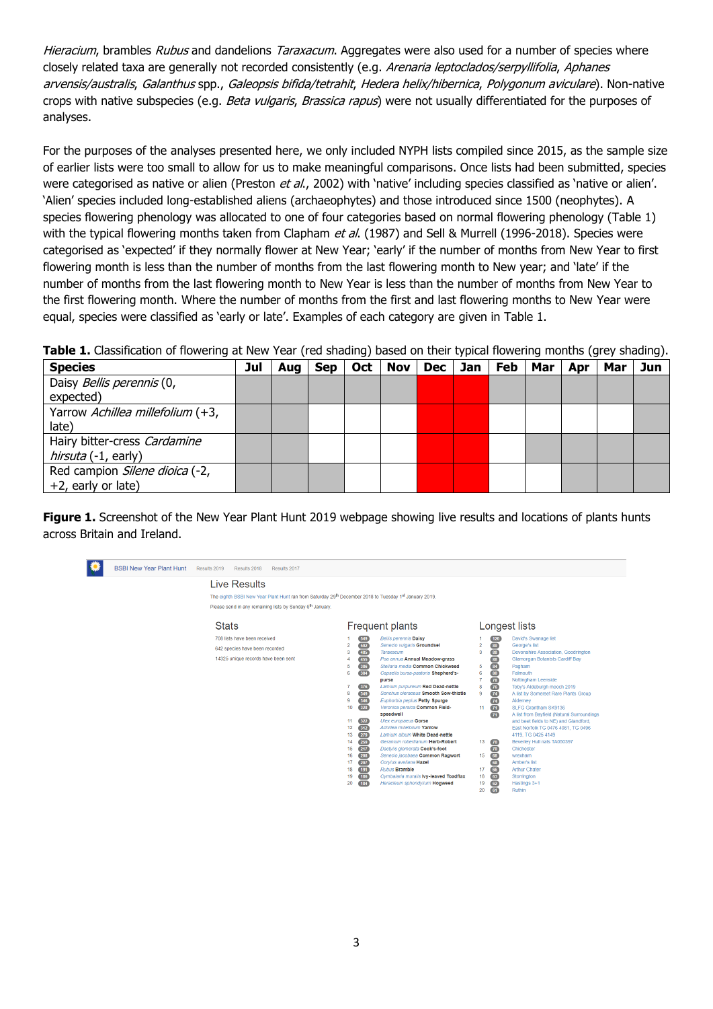Hieracium, brambles Rubus and dandelions Taraxacum. Aggregates were also used for a number of species where closely related taxa are generally not recorded consistently (e.g. Arenaria leptoclados/serpyllifolia, Aphanes arvensis/australis, Galanthus spp., Galeopsis bifida/tetrahit, Hedera helix/hibernica, Polygonum aviculare). Non-native crops with native subspecies (e.g. *Beta vulgaris, Brassica rapus*) were not usually differentiated for the purposes of analyses.

For the purposes of the analyses presented here, we only included NYPH lists compiled since 2015, as the sample size of earlier lists were too small to allow for us to make meaningful comparisons. Once lists had been submitted, species were categorised as native or alien (Preston *et al.*, 2002) with 'native' including species classified as 'native or alien'. 'Alien' species included long-established aliens (archaeophytes) and those introduced since 1500 (neophytes). A species flowering phenology was allocated to one of four categories based on normal flowering phenology (Table 1) with the typical flowering months taken from Clapham et al. (1987) and Sell & Murrell (1996-2018). Species were categorised as 'expected' if they normally flower at New Year; 'early' if the number of months from New Year to first flowering month is less than the number of months from the last flowering month to New year; and 'late' if the number of months from the last flowering month to New Year is less than the number of months from New Year to the first flowering month. Where the number of months from the first and last flowering months to New Year were equal, species were classified as 'early or late'. Examples of each category are given in Table 1.

**Table 1.** Classification of flowering at New Year (red shading) based on their typical flowering months (grey shading).

| <b>Species</b>                   | Jul | Aua | <b>Sep</b> | <b>Oct</b> | Nov |  | $Dec$   Jan   Feb | Mar | Apr | Mar | Jun |
|----------------------------------|-----|-----|------------|------------|-----|--|-------------------|-----|-----|-----|-----|
| Daisy Bellis perennis (0,        |     |     |            |            |     |  |                   |     |     |     |     |
| expected)                        |     |     |            |            |     |  |                   |     |     |     |     |
| Yarrow Achillea millefolium (+3, |     |     |            |            |     |  |                   |     |     |     |     |
| late)                            |     |     |            |            |     |  |                   |     |     |     |     |
| Hairy bitter-cress Cardamine     |     |     |            |            |     |  |                   |     |     |     |     |
| hirsuta (-1, early)              |     |     |            |            |     |  |                   |     |     |     |     |
| Red campion Silene dioica (-2,   |     |     |            |            |     |  |                   |     |     |     |     |
| +2, early or late)               |     |     |            |            |     |  |                   |     |     |     |     |

Figure 1. Screenshot of the New Year Plant Hunt 2019 webpage showing live results and locations of plants hunts across Britain and Ireland.

| <b>BSBI New Year Plant Hunt</b> | Results 2019<br>Results 2018<br>Results 2017                                                                                                                                       |                                                                                                                                                                                                                                                                                                                                              |                                                                                                                                                                                                                                                                                                                                                                                                                                                                                                                                                                                                                                                                                                                                        |                                                                                                                                                                                                                                                                                                                                                                                                                                                                                                                                                                                                                                                                                                                                                                                                        |
|---------------------------------|------------------------------------------------------------------------------------------------------------------------------------------------------------------------------------|----------------------------------------------------------------------------------------------------------------------------------------------------------------------------------------------------------------------------------------------------------------------------------------------------------------------------------------------|----------------------------------------------------------------------------------------------------------------------------------------------------------------------------------------------------------------------------------------------------------------------------------------------------------------------------------------------------------------------------------------------------------------------------------------------------------------------------------------------------------------------------------------------------------------------------------------------------------------------------------------------------------------------------------------------------------------------------------------|--------------------------------------------------------------------------------------------------------------------------------------------------------------------------------------------------------------------------------------------------------------------------------------------------------------------------------------------------------------------------------------------------------------------------------------------------------------------------------------------------------------------------------------------------------------------------------------------------------------------------------------------------------------------------------------------------------------------------------------------------------------------------------------------------------|
|                                 | Live Results<br>The eighth BSBI New Year Plant Hunt ran from Saturday 29th December 2018 to Tuesday 1st January 2019.<br>Please send in any remaining lists by Sunday 6th January. |                                                                                                                                                                                                                                                                                                                                              |                                                                                                                                                                                                                                                                                                                                                                                                                                                                                                                                                                                                                                                                                                                                        |                                                                                                                                                                                                                                                                                                                                                                                                                                                                                                                                                                                                                                                                                                                                                                                                        |
|                                 | <b>Stats</b>                                                                                                                                                                       | <b>Frequent plants</b>                                                                                                                                                                                                                                                                                                                       |                                                                                                                                                                                                                                                                                                                                                                                                                                                                                                                                                                                                                                                                                                                                        | Longest lists                                                                                                                                                                                                                                                                                                                                                                                                                                                                                                                                                                                                                                                                                                                                                                                          |
|                                 | 708 lists have been received<br>642 species have been recorded<br>14325 unique records have been sent                                                                              | 549<br>502<br>$\overline{2}$<br>485<br>3<br>Taraxacum<br>455<br>386<br>-5<br>6<br>384<br>purse<br>376<br>349<br>8<br>346<br>9<br>328<br>10 <sup>10</sup><br>speedwell<br>322<br>11<br>12<br>312<br>279<br>13<br>259<br>14<br>217<br>15<br>208<br>16<br>17<br>$\sqrt{207}$<br><b>Rubus Bramble</b><br>18<br>(191)<br>19<br>(186)<br>20<br>184 | <b>Bellis perennis Daisy</b><br>Senecio vulgaris Groundsel<br>$\overline{2}$<br>3<br>Poa annua Annual Meadow-grass<br>Stellaria media Common Chickweed<br>5<br>Capsella bursa-pastoris Shepherd's-<br>6<br>Lamium purpureum Red Dead-nettle<br>8<br>Sonchus oleraceus Smooth Sow-thistle<br>9<br>Euphorbia peplus Petty Spurge<br>Veronica persica Common Field-<br>11<br><b>Ulex europaeus Gorse</b><br>Achillea millefolium Yarrow<br>Lamium album White Dead-nettle<br>Geranium robertianum Herb-Robert<br>13<br>Dactylis glomerata Cock's-foot<br>Senecio jacobaea Common Ragwort<br>15 <sub>15</sub><br>Corylus avellana Hazel<br>17<br>Cymbalaria muralis Ivy-leaved Toadflax<br>18<br>19<br>Heracleum sphondylium Hogweed<br>20 | David's Swanage list<br>(120)<br>89<br>George's list<br>88<br>Devonshire Association, Goodrington<br>88<br><b>Glamorgan Botanists Cardiff Bay</b><br>84<br>Pagham<br>80 <sub>o</sub><br>Falmouth<br>T8<br><b>Nottingham Leenside</b><br>T <sub>6</sub><br>Toby's Aldeburgh mooch 2019<br>$\overline{14}$<br>A list by Somerset Rare Plants Group<br>$\overline{14}$<br>Alderney<br>$\sqrt{11}$<br>SLFG Grantham SK9136<br>T <sub>1</sub><br>A list from Bayfield (Natural Surroundings<br>and beet fields to NE) and Glandford.<br>East Norfolk TG 0476 4081, TG 0496<br>4119, TG 0425 4149<br>Beverley Hull nats TA050397<br>$\overline{70}$<br>(70)<br>Chichester<br>68<br>wrexham<br>68<br>Amber's list<br>66)<br><b>Arthur Chater</b><br>63)<br>Storrington<br>62)<br>Hastings 3+1<br>61<br>Ruthin |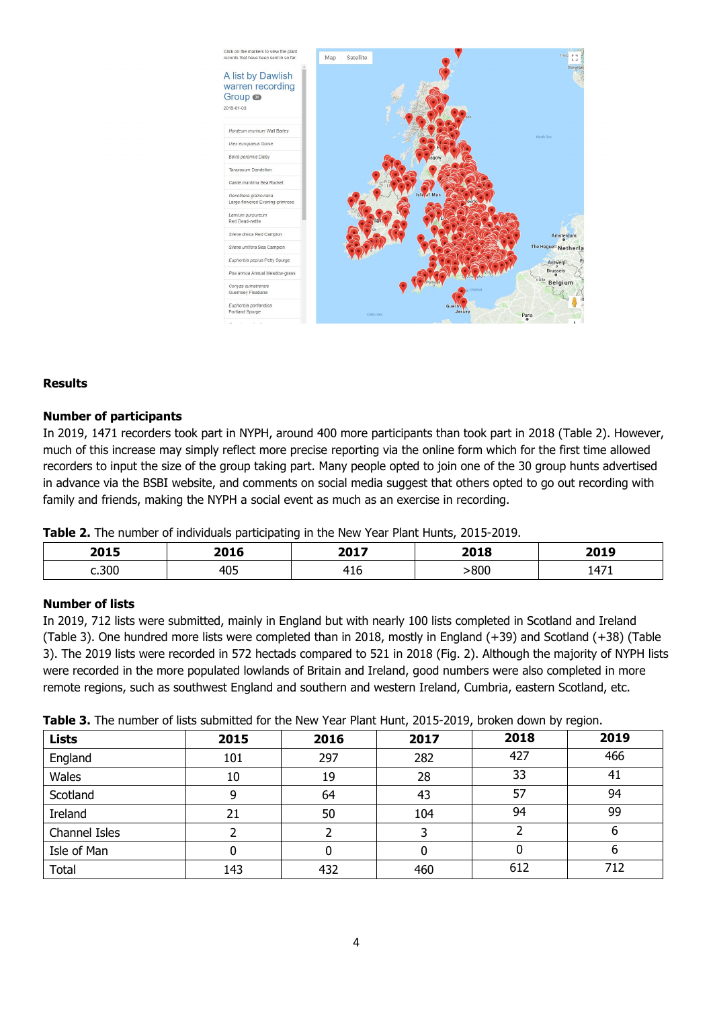

#### **Results**

#### **Number of participants**

In 2019, 1471 recorders took part in NYPH, around 400 more participants than took part in 2018 (Table 2). However, much of this increase may simply reflect more precise reporting via the online form which for the first time allowed recorders to input the size of the group taking part. Many people opted to join one of the 30 group hunts advertised in advance via the BSBI website, and comments on social media suggest that others opted to go out recording with family and friends, making the NYPH a social event as much as an exercise in recording.

**Table 2.** The number of individuals participating in the New Year Plant Hunts, 2015-2019.

| 2015    | 2016 | 2017 | 2018 | 2019    |
|---------|------|------|------|---------|
| $-.300$ | 405  | 710. | .800 | $4 - 4$ |

#### **Number of lists**

In 2019, 712 lists were submitted, mainly in England but with nearly 100 lists completed in Scotland and Ireland (Table 3). One hundred more lists were completed than in 2018, mostly in England (+39) and Scotland (+38) (Table 3). The 2019 lists were recorded in 572 hectads compared to 521 in 2018 (Fig. 2). Although the majority of NYPH lists were recorded in the more populated lowlands of Britain and Ireland, good numbers were also completed in more remote regions, such as southwest England and southern and western Ireland, Cumbria, eastern Scotland, etc.

| <b>Lists</b>  | 2015 | 2016 | 2017 | 2018 | 2019 |
|---------------|------|------|------|------|------|
| England       | 101  | 297  | 282  | 427  | 466  |
| Wales         | 10   | 19   | 28   | 33   | 41   |
| Scotland      |      | 64   | 43   | 57   | 94   |
| Ireland       | 21   | 50   | 104  | 94   | 99   |
| Channel Isles |      |      |      |      | b    |
| Isle of Man   |      |      | 0    |      | 6    |
| <b>Total</b>  | 143  | 432  | 460  | 612  | 712  |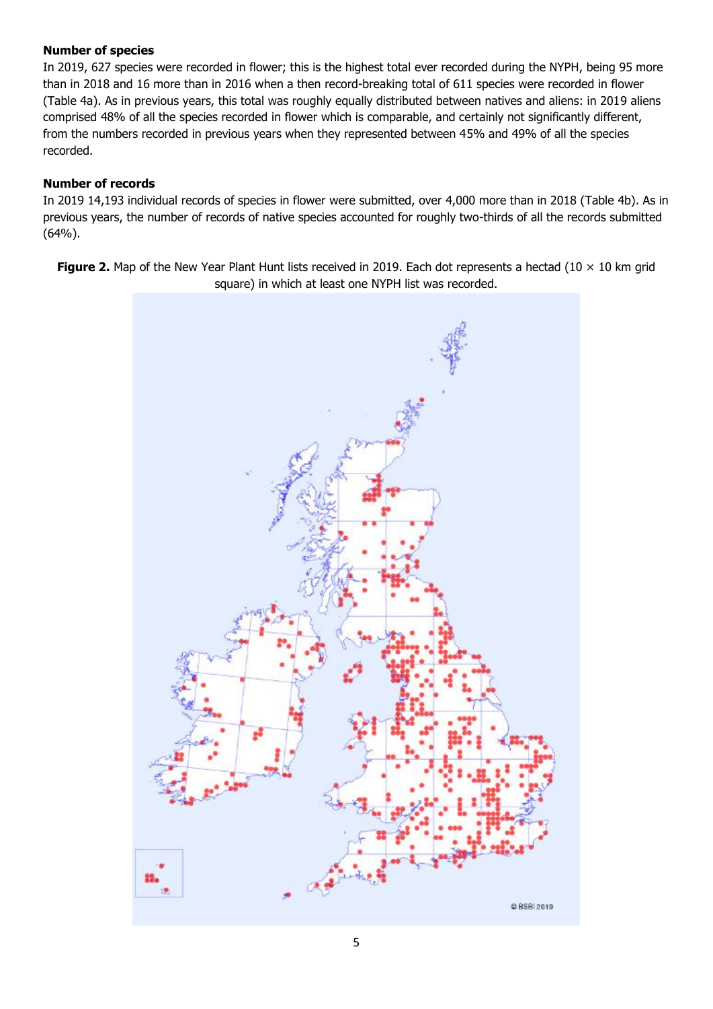#### **Number of species**

In 2019, 627 species were recorded in flower; this is the highest total ever recorded during the NYPH, being 95 more than in 2018 and 16 more than in 2016 when a then record-breaking total of 611 species were recorded in flower (Table 4a). As in previous years, this total was roughly equally distributed between natives and aliens: in 2019 aliens comprised 48% of all the species recorded in flower which is comparable, and certainly not significantly different, from the numbers recorded in previous years when they represented between 45% and 49% of all the species recorded.

#### **Number of records**

In 2019 14,193 individual records of species in flower were submitted, over 4,000 more than in 2018 (Table 4b). As in previous years, the number of records of native species accounted for roughly two-thirds of all the records submitted (64%).

**Figure 2.** Map of the New Year Plant Hunt lists received in 2019. Each dot represents a hectad (10  $\times$  10 km grid square) in which at least one NYPH list was recorded.

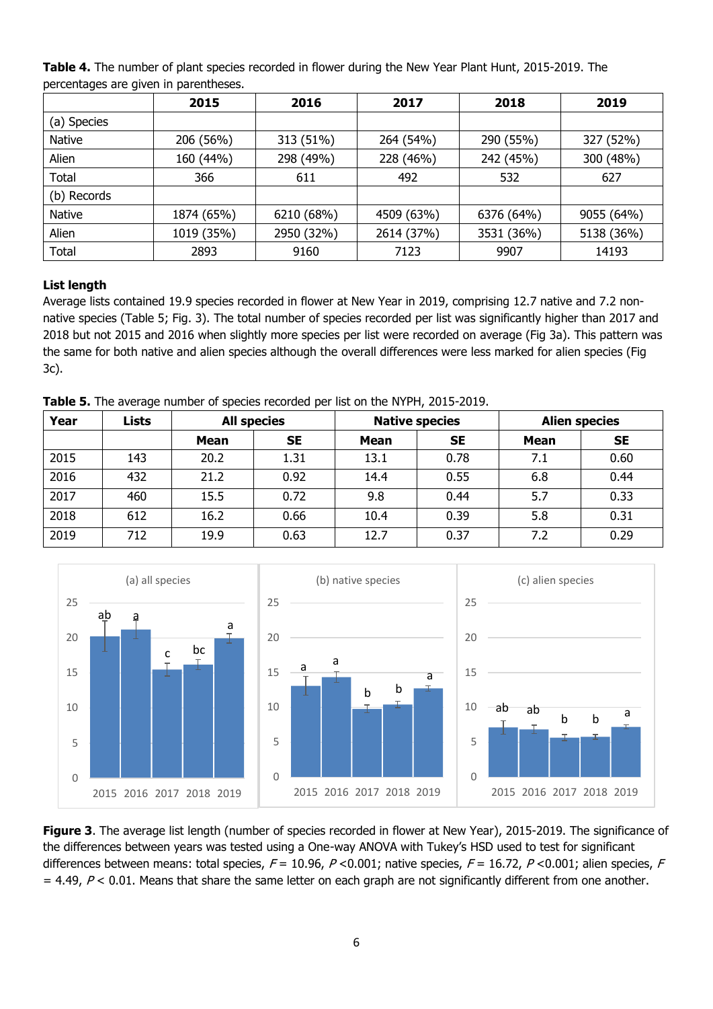**Table 4.** The number of plant species recorded in flower during the New Year Plant Hunt, 2015-2019. The percentages are given in parentheses.

|               | 2015       | 2016       | 2017       | 2018       | 2019       |
|---------------|------------|------------|------------|------------|------------|
| (a) Species   |            |            |            |            |            |
| <b>Native</b> | 206 (56%)  | 313 (51%)  | 264 (54%)  | 290 (55%)  | 327 (52%)  |
| Alien         | 160 (44%)  | 298 (49%)  | 228 (46%)  | 242 (45%)  | 300 (48%)  |
| Total         | 366        | 611        | 492        | 532        | 627        |
| (b) Records   |            |            |            |            |            |
| <b>Native</b> | 1874 (65%) | 6210 (68%) | 4509 (63%) | 6376 (64%) | 9055 (64%) |
| Alien         | 1019 (35%) | 2950 (32%) | 2614 (37%) | 3531 (36%) | 5138 (36%) |
| Total         | 2893       | 9160       | 7123       | 9907       | 14193      |

# **List length**

Average lists contained 19.9 species recorded in flower at New Year in 2019, comprising 12.7 native and 7.2 nonnative species (Table 5; Fig. 3). The total number of species recorded per list was significantly higher than 2017 and 2018 but not 2015 and 2016 when slightly more species per list were recorded on average (Fig 3a). This pattern was the same for both native and alien species although the overall differences were less marked for alien species (Fig 3c).

**Table 5.** The average number of species recorded per list on the NYPH, 2015-2019.

| Year | Lists |      | <b>All species</b> | <b>Native species</b> |           | <b>Alien species</b> |           |
|------|-------|------|--------------------|-----------------------|-----------|----------------------|-----------|
|      |       | Mean | <b>SE</b>          | Mean                  | <b>SE</b> | Mean                 | <b>SE</b> |
| 2015 | 143   | 20.2 | 1.31               | 13.1                  | 0.78      | 7.1                  | 0.60      |
| 2016 | 432   | 21.2 | 0.92               | 14.4                  | 0.55      | 6.8                  | 0.44      |
| 2017 | 460   | 15.5 | 0.72               | 9.8                   | 0.44      | 5.7                  | 0.33      |
| 2018 | 612   | 16.2 | 0.66               | 10.4                  | 0.39      | 5.8                  | 0.31      |
| 2019 | 712   | 19.9 | 0.63               | 12.7                  | 0.37      | 7.2                  | 0.29      |



**Figure 3**. The average list length (number of species recorded in flower at New Year), 2015-2019. The significance of the differences between years was tested using a One-way ANOVA with Tukey's HSD used to test for significant differences between means: total species,  $F = 10.96$ ,  $P < 0.001$ ; native species,  $F = 16.72$ ,  $P < 0.001$ ; alien species,  $F$  $=$  4.49,  $P$  < 0.01. Means that share the same letter on each graph are not significantly different from one another.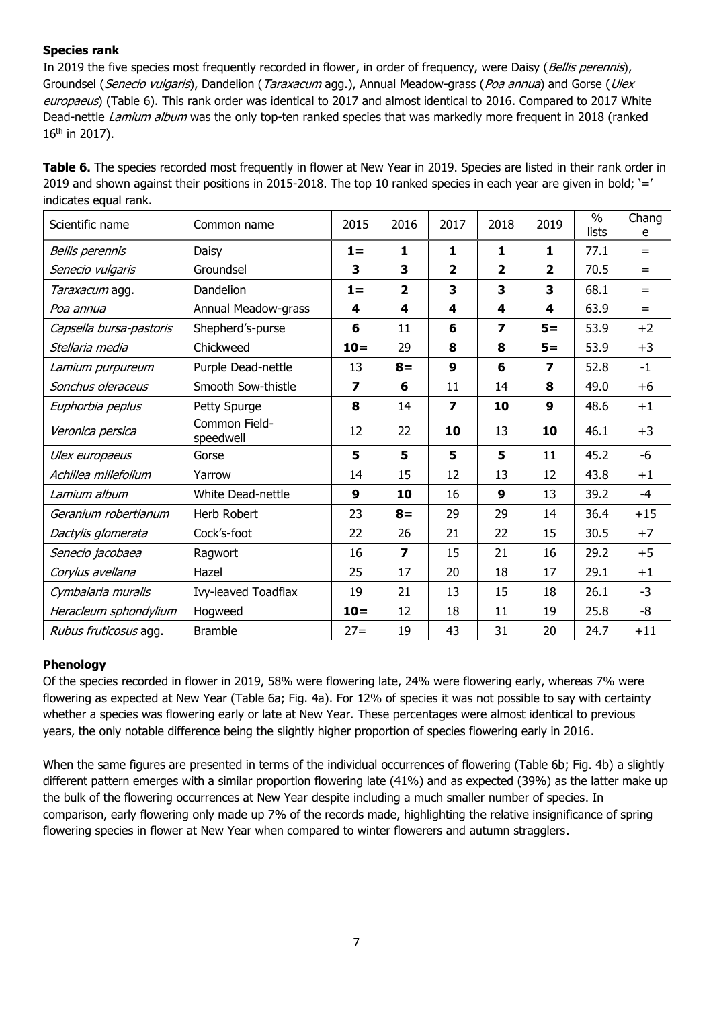# **Species rank**

In 2019 the five species most frequently recorded in flower, in order of frequency, were Daisy (Bellis perennis), Groundsel (Senecio vulgaris), Dandelion (Taraxacum agg.), Annual Meadow-grass (Poa annua) and Gorse (Ulex europaeus) (Table 6). This rank order was identical to 2017 and almost identical to 2016. Compared to 2017 White Dead-nettle Lamium album was the only top-ten ranked species that was markedly more frequent in 2018 (ranked  $16<sup>th</sup>$  in 2017).

| manaco aguar rann.      |                            |        |                         |                         |                         |                |               |            |
|-------------------------|----------------------------|--------|-------------------------|-------------------------|-------------------------|----------------|---------------|------------|
| Scientific name         | Common name                | 2015   | 2016                    | 2017                    | 2018                    | 2019           | $\%$<br>lists | Chang<br>e |
| Bellis perennis         | Daisy                      | $1 =$  | 1                       | $\mathbf{1}$            | $\mathbf{1}$            | 1              | 77.1          | $=$        |
| Senecio vulgaris        | Groundsel                  | 3      | 3                       | $\overline{2}$          | $\overline{2}$          | $\overline{2}$ | 70.5          | $=$        |
| Taraxacum agg.          | Dandelion                  | $1 =$  | $\overline{2}$          | 3                       | 3                       | 3              | 68.1          | $=$        |
| Poa annua               | Annual Meadow-grass        | 4      | 4                       | 4                       | 4                       | 4              | 63.9          | $=$        |
| Capsella bursa-pastoris | Shepherd's-purse           | 6      | 11                      | 6                       | $\overline{\mathbf{z}}$ | $5=$           | 53.9          | $+2$       |
| Stellaria media         | Chickweed                  | $10=$  | 29                      | 8                       | 8                       | $5 =$          | 53.9          | $+3$       |
| Lamium purpureum        | Purple Dead-nettle         | 13     | $8 =$                   | $\boldsymbol{9}$        | 6                       | 7              | 52.8          | $-1$       |
| Sonchus oleraceus       | Smooth Sow-thistle         | 7      | 6                       | 11                      | 14                      | 8              | 49.0          | $+6$       |
| Euphorbia peplus        | Petty Spurge               | 8      | 14                      | $\overline{\mathbf{z}}$ | 10                      | 9              | 48.6          | $+1$       |
| Veronica persica        | Common Field-<br>speedwell | 12     | 22                      | 10                      | 13                      | 10             | 46.1          | $+3$       |
| Ulex europaeus          | Gorse                      | 5      | 5                       | 5                       | 5                       | 11             | 45.2          | $-6$       |
| Achillea millefolium    | Yarrow                     | 14     | 15                      | 12                      | 13                      | 12             | 43.8          | $+1$       |
| Lamium album            | White Dead-nettle          | 9      | 10                      | 16                      | 9                       | 13             | 39.2          | $-4$       |
| Geranium robertianum    | Herb Robert                | 23     | $8 =$                   | 29                      | 29                      | 14             | 36.4          | $+15$      |
| Dactylis glomerata      | Cock's-foot                | 22     | 26                      | 21                      | 22                      | 15             | 30.5          | $+7$       |
| Senecio jacobaea        | Ragwort                    | 16     | $\overline{\mathbf{z}}$ | 15                      | 21                      | 16             | 29.2          | $+5$       |
| Corylus avellana        | Hazel                      | 25     | 17                      | 20                      | 18                      | 17             | 29.1          | $+1$       |
| Cymbalaria muralis      | Ivy-leaved Toadflax        | 19     | 21                      | 13                      | 15                      | 18             | 26.1          | $-3$       |
| Heracleum sphondylium   | Hogweed                    | $10 =$ | 12                      | 18                      | 11                      | 19             | 25.8          | -8         |
| Rubus fruticosus agg.   | <b>Bramble</b>             | $27 =$ | 19                      | 43                      | 31                      | 20             | 24.7          | $+11$      |

**Table 6.** The species recorded most frequently in flower at New Year in 2019. Species are listed in their rank order in 2019 and shown against their positions in 2015-2018. The top 10 ranked species in each year are given in bold;  $=$ ' indicates equal rank.

# **Phenology**

Of the species recorded in flower in 2019, 58% were flowering late, 24% were flowering early, whereas 7% were flowering as expected at New Year (Table 6a; Fig. 4a). For 12% of species it was not possible to say with certainty whether a species was flowering early or late at New Year. These percentages were almost identical to previous years, the only notable difference being the slightly higher proportion of species flowering early in 2016.

When the same figures are presented in terms of the individual occurrences of flowering (Table 6b; Fig. 4b) a slightly different pattern emerges with a similar proportion flowering late (41%) and as expected (39%) as the latter make up the bulk of the flowering occurrences at New Year despite including a much smaller number of species. In comparison, early flowering only made up 7% of the records made, highlighting the relative insignificance of spring flowering species in flower at New Year when compared to winter flowerers and autumn stragglers.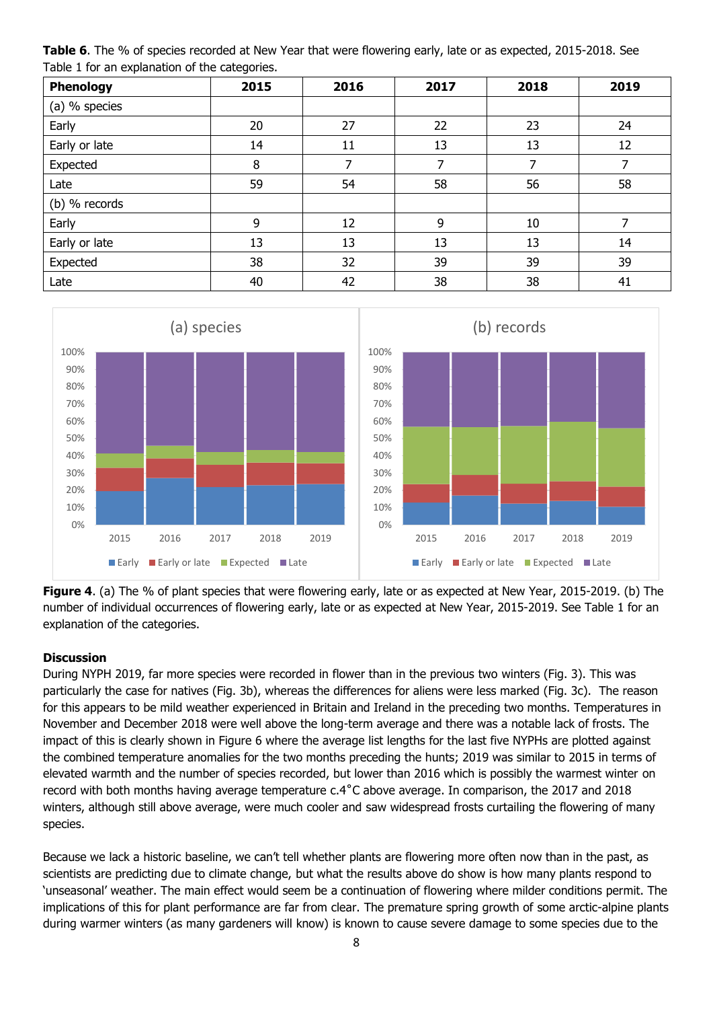**Table 6**. The % of species recorded at New Year that were flowering early, late or as expected, 2015-2018. See Table 1 for an explanation of the categories.

| Phenology     | 2015 | 2016 | 2017 | 2018 | 2019 |
|---------------|------|------|------|------|------|
| (a) % species |      |      |      |      |      |
| Early         | 20   | 27   | 22   | 23   | 24   |
| Early or late | 14   | 11   | 13   | 13   | 12   |
| Expected      | 8    | 7    | 7    | 7    |      |
| Late          | 59   | 54   | 58   | 56   | 58   |
| (b) % records |      |      |      |      |      |
| Early         | 9    | 12   | 9    | 10   |      |
| Early or late | 13   | 13   | 13   | 13   | 14   |
| Expected      | 38   | 32   | 39   | 39   | 39   |
| Late          | 40   | 42   | 38   | 38   | 41   |



**Figure 4.** (a) The % of plant species that were flowering early, late or as expected at New Year, 2015-2019. (b) The number of individual occurrences of flowering early, late or as expected at New Year, 2015-2019. See Table 1 for an explanation of the categories.

#### **Discussion**

During NYPH 2019, far more species were recorded in flower than in the previous two winters (Fig. 3). This was particularly the case for natives (Fig. 3b), whereas the differences for aliens were less marked (Fig. 3c). The reason for this appears to be mild weather experienced in Britain and Ireland in the preceding two months. Temperatures in November and December 2018 were well above the long-term average and there was a notable lack of frosts. The impact of this is clearly shown in Figure 6 where the average list lengths for the last five NYPHs are plotted against the combined temperature anomalies for the two months preceding the hunts; 2019 was similar to 2015 in terms of elevated warmth and the number of species recorded, but lower than 2016 which is possibly the warmest winter on record with both months having average temperature c.4˚C above average. In comparison, the 2017 and 2018 winters, although still above average, were much cooler and saw widespread frosts curtailing the flowering of many species.

Because we lack a historic baseline, we can't tell whether plants are flowering more often now than in the past, as scientists are predicting due to climate change, but what the results above do show is how many plants respond to 'unseasonal' weather. The main effect would seem be a continuation of flowering where milder conditions permit. The implications of this for plant performance are far from clear. The premature spring growth of some arctic-alpine plants during warmer winters (as many gardeners will know) is known to cause severe damage to some species due to the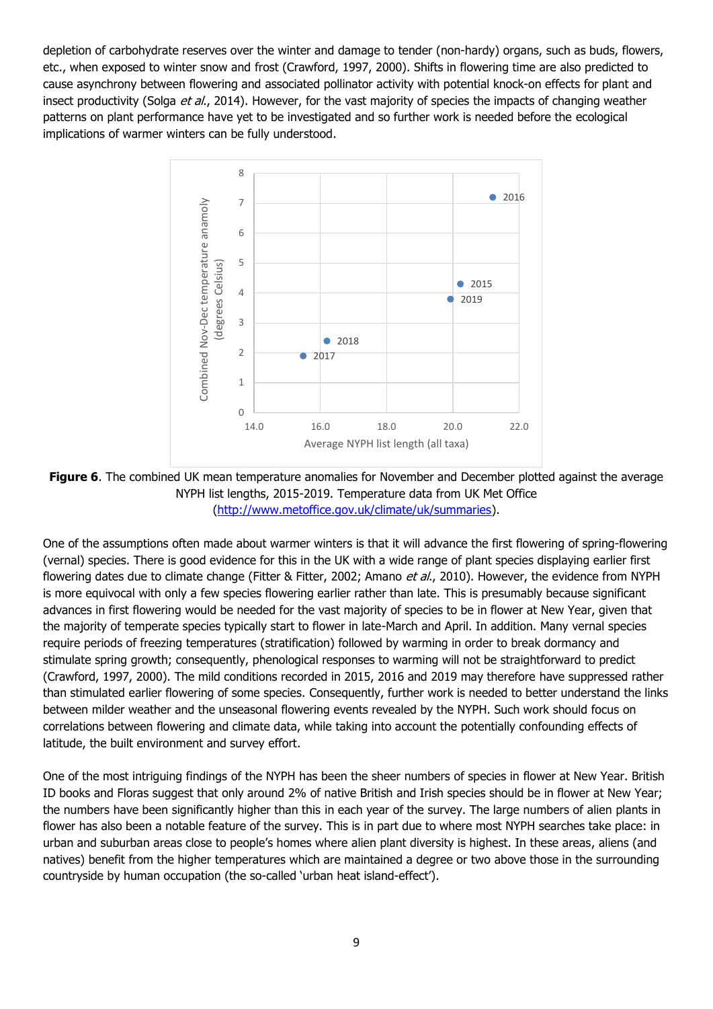depletion of carbohydrate reserves over the winter and damage to tender (non-hardy) organs, such as buds, flowers, etc., when exposed to winter snow and frost (Crawford, 1997, 2000). Shifts in flowering time are also predicted to cause asynchrony between flowering and associated pollinator activity with potential knock-on effects for plant and insect productivity (Solga *et al.,* 2014). However, for the vast majority of species the impacts of changing weather patterns on plant performance have yet to be investigated and so further work is needed before the ecological implications of warmer winters can be fully understood.



**Figure 6.** The combined UK mean temperature anomalies for November and December plotted against the average NYPH list lengths, 2015-2019. Temperature data from UK Met Office [\(http://www.metoffice.gov.uk/climate/uk/summaries\)](http://www.metoffice.gov.uk/climate/uk/summaries).

One of the assumptions often made about warmer winters is that it will advance the first flowering of spring-flowering (vernal) species. There is good evidence for this in the UK with a wide range of plant species displaying earlier first flowering dates due to climate change (Fitter & Fitter, 2002; Amano et al., 2010). However, the evidence from NYPH is more equivocal with only a few species flowering earlier rather than late. This is presumably because significant advances in first flowering would be needed for the vast majority of species to be in flower at New Year, given that the majority of temperate species typically start to flower in late-March and April. In addition. Many vernal species require periods of freezing temperatures (stratification) followed by warming in order to break dormancy and stimulate spring growth; consequently, phenological responses to warming will not be straightforward to predict (Crawford, 1997, 2000). The mild conditions recorded in 2015, 2016 and 2019 may therefore have suppressed rather than stimulated earlier flowering of some species. Consequently, further work is needed to better understand the links between milder weather and the unseasonal flowering events revealed by the NYPH. Such work should focus on correlations between flowering and climate data, while taking into account the potentially confounding effects of latitude, the built environment and survey effort.

One of the most intriguing findings of the NYPH has been the sheer numbers of species in flower at New Year. British ID books and Floras suggest that only around 2% of native British and Irish species should be in flower at New Year; the numbers have been significantly higher than this in each year of the survey. The large numbers of alien plants in flower has also been a notable feature of the survey. This is in part due to where most NYPH searches take place: in urban and suburban areas close to people's homes where alien plant diversity is highest. In these areas, aliens (and natives) benefit from the higher temperatures which are maintained a degree or two above those in the surrounding countryside by human occupation (the so-called 'urban heat island-effect').